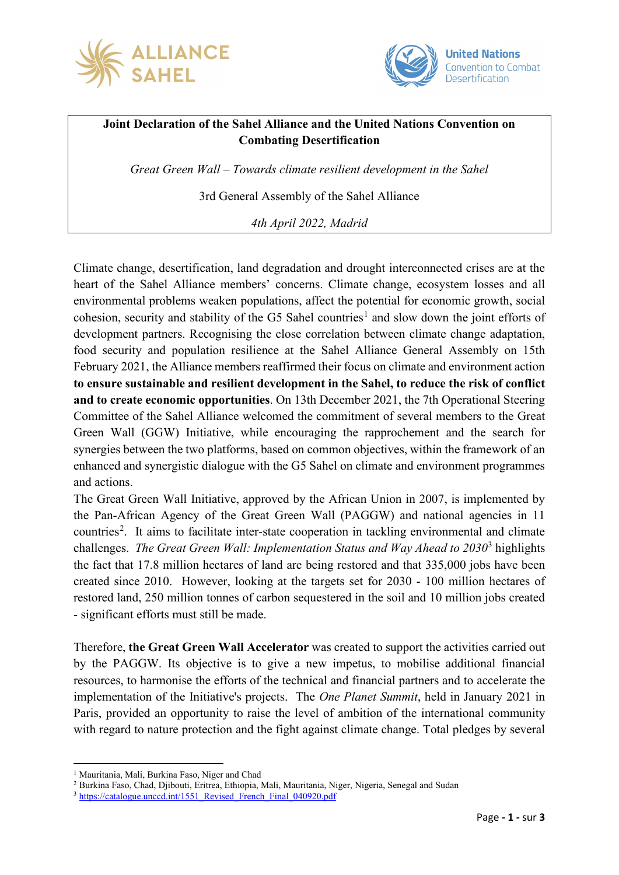



## **Joint Declaration of the Sahel Alliance and the United Nations Convention on Combating Desertification**

*Great Green Wall – Towards climate resilient development in the Sahel*

3rd General Assembly of the Sahel Alliance

*4th April 2022, Madrid*

Climate change, desertification, land degradation and drought interconnected crises are at the heart of the Sahel Alliance members' concerns. Climate change, ecosystem losses and all environmental problems weaken populations, affect the potential for economic growth, social cohesion, security and stability of the G5 Sahel countries<sup>[1](#page-0-0)</sup> and slow down the joint efforts of development partners. Recognising the close correlation between climate change adaptation, food security and population resilience at the Sahel Alliance General Assembly on 15th February 2021, the Alliance members reaffirmed their focus on climate and environment action **to ensure sustainable and resilient development in the Sahel, to reduce the risk of conflict and to create economic opportunities**. On 13th December 2021, the 7th Operational Steering Committee of the Sahel Alliance welcomed the commitment of several members to the Great Green Wall (GGW) Initiative, while encouraging the rapprochement and the search for synergies between the two platforms, based on common objectives, within the framework of an enhanced and synergistic dialogue with the G5 Sahel on climate and environment programmes and actions.

The Great Green Wall Initiative, approved by the African Union in 2007, is implemented by the Pan-African Agency of the Great Green Wall (PAGGW) and national agencies in 11 countries<sup>[2](#page-0-1)</sup>. It aims to facilitate inter-state cooperation in tackling environmental and climate challenges. *The Great Green Wall: Implementation Status and Way Ahead to 2030*[3](#page-0-2) highlights the fact that 17.8 million hectares of land are being restored and that 335,000 jobs have been created since 2010. However, looking at the targets set for 2030 - 100 million hectares of restored land, 250 million tonnes of carbon sequestered in the soil and 10 million jobs created - significant efforts must still be made.

Therefore, **the Great Green Wall Accelerator** was created to support the activities carried out by the PAGGW. Its objective is to give a new impetus, to mobilise additional financial resources, to harmonise the efforts of the technical and financial partners and to accelerate the implementation of the Initiative's projects. The *One Planet Summit*, held in January 2021 in Paris, provided an opportunity to raise the level of ambition of the international community with regard to nature protection and the fight against climate change. Total pledges by several

<sup>&</sup>lt;sup>1</sup> Mauritania, Mali, Burkina Faso, Niger and Chad

<span id="page-0-1"></span><span id="page-0-0"></span><sup>2</sup> Burkina Faso, Chad, Djibouti, Eritrea, Ethiopia, Mali, Mauritania, Niger, Nigeria, Senegal and Sudan

<span id="page-0-2"></span><sup>&</sup>lt;sup>3</sup> [https://catalogue.unccd.int/1551\\_Revised\\_French\\_Final\\_040920.pdf](https://catalogue.unccd.int/1551_Revised_French_Final_040920.pdf)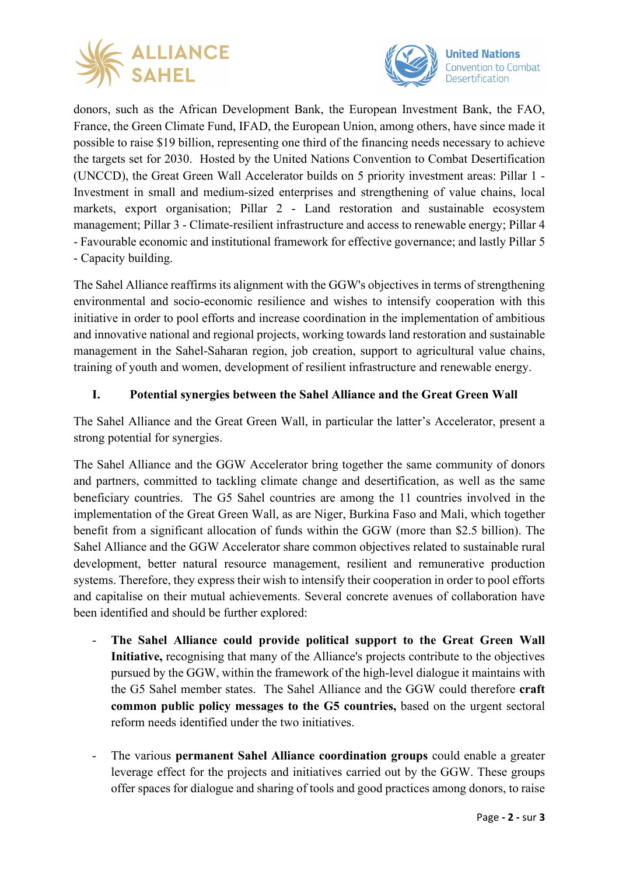



donors, such as the African Development Bank, the European Investment Bank, the FAO, France, the Green Climate Fund, IFAD, the European Union, among others, have since made it possible to raise \$19 billion, representing one third of the financing needs necessary to achieve the targets set for 2030. Hosted by the United Nations Convention to Combat Desertification (UNCCD), the Great Green Wall Accelerator builds on 5 priority investment areas: Pillar 1 - Investment in small and medium-sized enterprises and strengthening of value chains, local markets, export organisation; Pillar 2 - Land restoration and sustainable ecosystem management; Pillar 3 - Climate-resilient infrastructure and access to renewable energy; Pillar 4 - Favourable economic and institutional framework for effective governance; and lastly Pillar 5 - Capacity building.

The Sahel Alliance reaffirms its alignment with the GGW's objectives in terms of strengthening environmental and socio-economic resilience and wishes to intensify cooperation with this initiative in order to pool efforts and increase coordination in the implementation of ambitious and innovative national and regional projects, working towards land restoration and sustainable management in the Sahel-Saharan region, job creation, support to agricultural value chains, training of youth and women, development of resilient infrastructure and renewable energy.

## **I. Potential synergies between the Sahel Alliance and the Great Green Wall**

The Sahel Alliance and the Great Green Wall, in particular the latter's Accelerator, present a strong potential for synergies.

The Sahel Alliance and the GGW Accelerator bring together the same community of donors and partners, committed to tackling climate change and desertification, as well as the same beneficiary countries. The G5 Sahel countries are among the 11 countries involved in the implementation of the Great Green Wall, as are Niger, Burkina Faso and Mali, which together benefit from a significant allocation of funds within the GGW (more than \$2.5 billion). The Sahel Alliance and the GGW Accelerator share common objectives related to sustainable rural development, better natural resource management, resilient and remunerative production systems. Therefore, they express their wish to intensify their cooperation in order to pool efforts and capitalise on their mutual achievements. Several concrete avenues of collaboration have been identified and should be further explored:

- The Sahel Alliance could provide political support to the Great Green Wall **Initiative,** recognising that many of the Alliance's projects contribute to the objectives pursued by the GGW, within the framework of the high-level dialogue it maintains with the G5 Sahel member states. The Sahel Alliance and the GGW could therefore **craft common public policy messages to the G5 countries,** based on the urgent sectoral reform needs identified under the two initiatives.
- The various **permanent Sahel Alliance coordination groups** could enable a greater leverage effect for the projects and initiatives carried out by the GGW. These groups offer spaces for dialogue and sharing of tools and good practices among donors, to raise